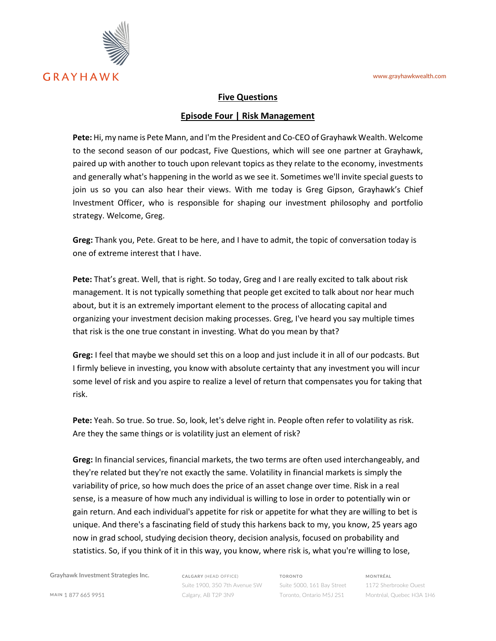

## **Five Questions**

## **Episode Four | Risk Management**

**Pete:** Hi, my name is Pete Mann, and I'm the President and Co-CEO of Grayhawk Wealth. Welcome to the second season of our podcast, Five Questions, which will see one partner at Grayhawk, paired up with another to touch upon relevant topics as they relate to the economy, investments and generally what's happening in the world as we see it. Sometimes we'll invite special guests to join us so you can also hear their views. With me today is Greg Gipson, Grayhawk's Chief Investment Officer, who is responsible for shaping our investment philosophy and portfolio strategy. Welcome, Greg.

**Greg:** Thank you, Pete. Great to be here, and I have to admit, the topic of conversation today is one of extreme interest that I have.

**Pete:** That's great. Well, that is right. So today, Greg and I are really excited to talk about risk management. It is not typically something that people get excited to talk about nor hear much about, but it is an extremely important element to the process of allocating capital and organizing your investment decision making processes. Greg, I've heard you say multiple times that risk is the one true constant in investing. What do you mean by that?

**Greg:** I feel that maybe we should set this on a loop and just include it in all of our podcasts. But I firmly believe in investing, you know with absolute certainty that any investment you will incur some level of risk and you aspire to realize a level of return that compensates you for taking that risk.

**Pete:** Yeah. So true. So true. So, look, let's delve right in. People often refer to volatility as risk. Are they the same things or is volatility just an element of risk?

**Greg:** In financial services, financial markets, the two terms are often used interchangeably, and they're related but they're not exactly the same. Volatility in financial markets is simply the variability of price, so how much does the price of an asset change over time. Risk in a real sense, is a measure of how much any individual is willing to lose in order to potentially win or gain return. And each individual's appetite for risk or appetite for what they are willing to bet is unique. And there's a fascinating field of study this harkens back to my, you know, 25 years ago now in grad school, studying decision theory, decision analysis, focused on probability and statistics. So, if you think of it in this way, you know, where risk is, what you're willing to lose,

**Grayhawk Investment Strategies Inc.**

**CALGARY** (HEAD OFFICE) Suite 1900, 350 7th Avenue SW Calgary, AB T2P 3N9

**TORONTO** Suite 5000, 161 Bay Street Toronto, Ontario M5J 2S1 **MONTRÉAL**

1172 Sherbrooke Ouest Montréal, Quebec H3A 1H6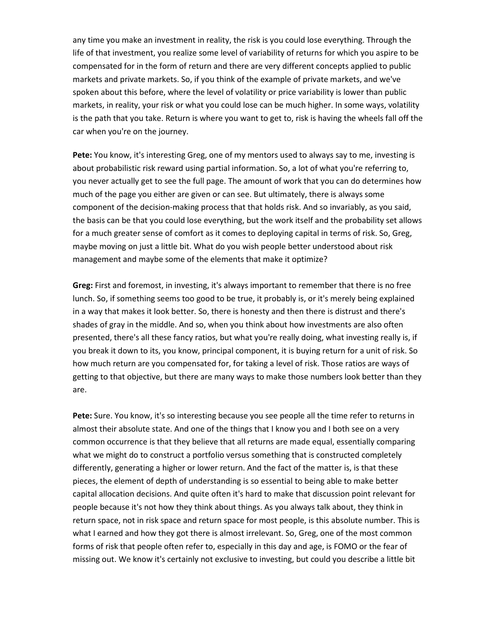any time you make an investment in reality, the risk is you could lose everything. Through the life of that investment, you realize some level of variability of returns for which you aspire to be compensated for in the form of return and there are very different concepts applied to public markets and private markets. So, if you think of the example of private markets, and we've spoken about this before, where the level of volatility or price variability is lower than public markets, in reality, your risk or what you could lose can be much higher. In some ways, volatility is the path that you take. Return is where you want to get to, risk is having the wheels fall off the car when you're on the journey.

**Pete:** You know, it's interesting Greg, one of my mentors used to always say to me, investing is about probabilistic risk reward using partial information. So, a lot of what you're referring to, you never actually get to see the full page. The amount of work that you can do determines how much of the page you either are given or can see. But ultimately, there is always some component of the decision-making process that that holds risk. And so invariably, as you said, the basis can be that you could lose everything, but the work itself and the probability set allows for a much greater sense of comfort as it comes to deploying capital in terms of risk. So, Greg, maybe moving on just a little bit. What do you wish people better understood about risk management and maybe some of the elements that make it optimize?

**Greg:** First and foremost, in investing, it's always important to remember that there is no free lunch. So, if something seems too good to be true, it probably is, or it's merely being explained in a way that makes it look better. So, there is honesty and then there is distrust and there's shades of gray in the middle. And so, when you think about how investments are also often presented, there's all these fancy ratios, but what you're really doing, what investing really is, if you break it down to its, you know, principal component, it is buying return for a unit of risk. So how much return are you compensated for, for taking a level of risk. Those ratios are ways of getting to that objective, but there are many ways to make those numbers look better than they are.

**Pete:** Sure. You know, it's so interesting because you see people all the time refer to returns in almost their absolute state. And one of the things that I know you and I both see on a very common occurrence is that they believe that all returns are made equal, essentially comparing what we might do to construct a portfolio versus something that is constructed completely differently, generating a higher or lower return. And the fact of the matter is, is that these pieces, the element of depth of understanding is so essential to being able to make better capital allocation decisions. And quite often it's hard to make that discussion point relevant for people because it's not how they think about things. As you always talk about, they think in return space, not in risk space and return space for most people, is this absolute number. This is what I earned and how they got there is almost irrelevant. So, Greg, one of the most common forms of risk that people often refer to, especially in this day and age, is FOMO or the fear of missing out. We know it's certainly not exclusive to investing, but could you describe a little bit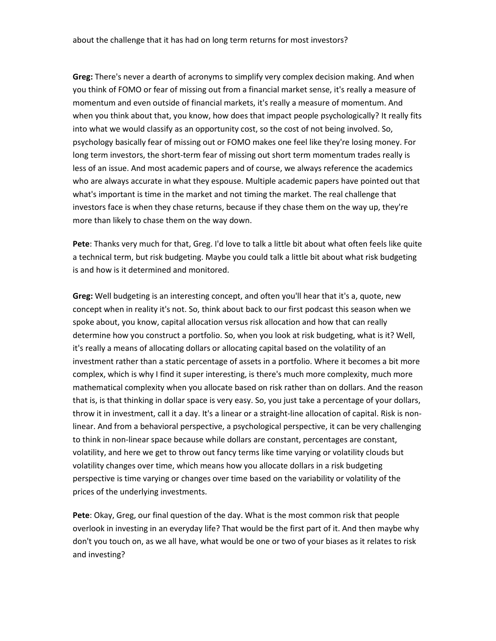**Greg:** There's never a dearth of acronyms to simplify very complex decision making. And when you think of FOMO or fear of missing out from a financial market sense, it's really a measure of momentum and even outside of financial markets, it's really a measure of momentum. And when you think about that, you know, how does that impact people psychologically? It really fits into what we would classify as an opportunity cost, so the cost of not being involved. So, psychology basically fear of missing out or FOMO makes one feel like they're losing money. For long term investors, the short-term fear of missing out short term momentum trades really is less of an issue. And most academic papers and of course, we always reference the academics who are always accurate in what they espouse. Multiple academic papers have pointed out that what's important is time in the market and not timing the market. The real challenge that investors face is when they chase returns, because if they chase them on the way up, they're more than likely to chase them on the way down.

**Pete**: Thanks very much for that, Greg. I'd love to talk a little bit about what often feels like quite a technical term, but risk budgeting. Maybe you could talk a little bit about what risk budgeting is and how is it determined and monitored.

**Greg:** Well budgeting is an interesting concept, and often you'll hear that it's a, quote, new concept when in reality it's not. So, think about back to our first podcast this season when we spoke about, you know, capital allocation versus risk allocation and how that can really determine how you construct a portfolio. So, when you look at risk budgeting, what is it? Well, it's really a means of allocating dollars or allocating capital based on the volatility of an investment rather than a static percentage of assets in a portfolio. Where it becomes a bit more complex, which is why I find it super interesting, is there's much more complexity, much more mathematical complexity when you allocate based on risk rather than on dollars. And the reason that is, is that thinking in dollar space is very easy. So, you just take a percentage of your dollars, throw it in investment, call it a day. It's a linear or a straight-line allocation of capital. Risk is nonlinear. And from a behavioral perspective, a psychological perspective, it can be very challenging to think in non-linear space because while dollars are constant, percentages are constant, volatility, and here we get to throw out fancy terms like time varying or volatility clouds but volatility changes over time, which means how you allocate dollars in a risk budgeting perspective is time varying or changes over time based on the variability or volatility of the prices of the underlying investments.

**Pete**: Okay, Greg, our final question of the day. What is the most common risk that people overlook in investing in an everyday life? That would be the first part of it. And then maybe why don't you touch on, as we all have, what would be one or two of your biases as it relates to risk and investing?